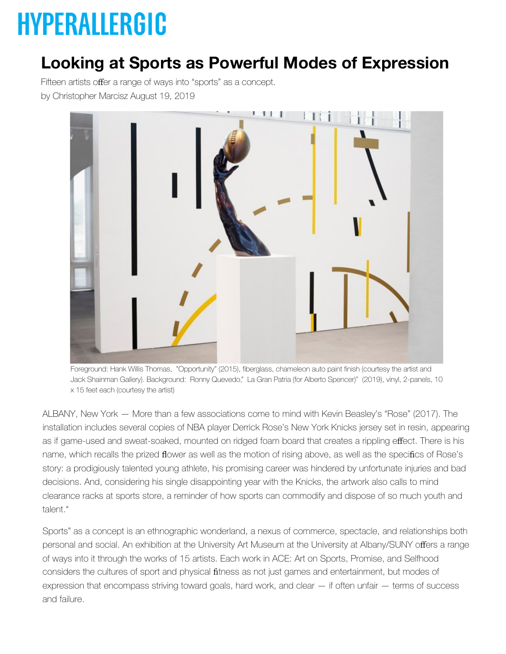## **HYPERALLERGIC**

## **Lo[oking at Spor](https://hyperallergic.com/)ts as Powerful Modes of Ex[pressio](https://hyperallergic.com/membership/)n**

Fifteen artists offer a range of ways into "sports" as a concept. by Christo[pher Marc](https://hyperallergic.com/tag/reviews/)isz August 19, 2019



Foreground: Hank Willis Thomas, "Opportunity" (2015), fiberglass, chameleon auto paint finish (courtesy the artist and Jack Shainman Gallery). Background: Ronny Quevedo," La Gran Patria (for Alberto Spencer)" (2019), vinyl, 2-panels, 10 x 15 feet each (courtesy the artist)

ALBANY, New York — More than a few associations come to mind with Kevin Beasley's "Rose" (2017). The installation includes several copies of NBA player Derrick Rose's New York Knicks jersey set in resin, appearing as if game-used and sweat-soaked, mounted on ridged foam board that creates a rippling effect. There is his name, which recalls the prized flower as well as the motion of rising above, as well as the specifics of Rose's story: a prodigiously talented young athlete, his promising career was hindered by unfortunate injuries and bad decisions. And, considering his single disappointing year with the Knicks, the artwork also calls to mind clearance racks at sports store, a reminder of how sports can commodify and dispose of so much youth and talent."

Sports" as a concept is an ethnographic wonderland, a nexus of commerce, spectacle, and relationships both personal and social. An exhibition at the University Art Museum at the University at Albany/SUNY offers a range of ways into it through the works of 15 artists. Each work in ACE: Art on Sports, Promise, and Selfhood considers the cultures of sport and physical fitness as not just games and entertainment, but modes of expression that encompass striving toward goals, hard work, and clear — if often unfair — terms of success and failure.